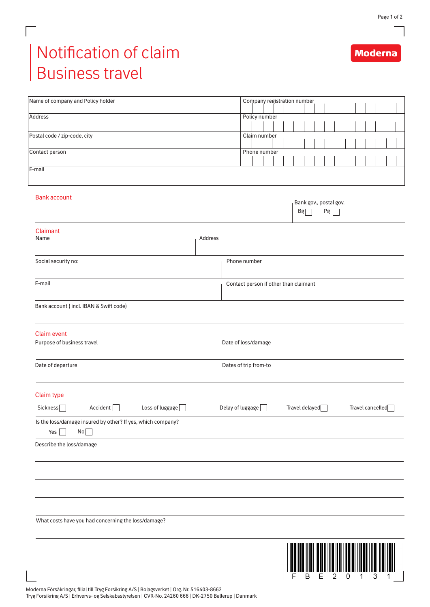**Moderna** 

## Notification of claim Business travel

 $\Box$ 

L

| Name of company and Policy holder                                                |                                       |                     | Company registration number |  |  |  |              |  |    |  |                             |    |   |                  |  |   |  |  |  |
|----------------------------------------------------------------------------------|---------------------------------------|---------------------|-----------------------------|--|--|--|--------------|--|----|--|-----------------------------|----|---|------------------|--|---|--|--|--|
| <b>Address</b>                                                                   |                                       |                     | Policy number               |  |  |  |              |  |    |  |                             |    |   |                  |  |   |  |  |  |
| Postal code / zip-code, city                                                     |                                       |                     | Claim number                |  |  |  |              |  |    |  |                             |    |   |                  |  |   |  |  |  |
|                                                                                  |                                       |                     |                             |  |  |  |              |  |    |  |                             |    |   |                  |  |   |  |  |  |
| Contact person                                                                   |                                       |                     | Phone number                |  |  |  |              |  |    |  |                             |    |   |                  |  |   |  |  |  |
| E-mail                                                                           |                                       |                     |                             |  |  |  |              |  |    |  |                             |    |   |                  |  |   |  |  |  |
| <b>Bank account</b>                                                              |                                       |                     |                             |  |  |  |              |  | Bg |  | Bank gov., postal gov.      | Pg |   |                  |  |   |  |  |  |
| Claimant<br>Name                                                                 | Address                               |                     |                             |  |  |  |              |  |    |  |                             |    |   |                  |  |   |  |  |  |
| Social security no:                                                              |                                       |                     |                             |  |  |  | Phone number |  |    |  |                             |    |   |                  |  |   |  |  |  |
| E-mail                                                                           | Contact person if other than claimant |                     |                             |  |  |  |              |  |    |  |                             |    |   |                  |  |   |  |  |  |
| Bank account (incl. IBAN & Swift code)                                           |                                       |                     |                             |  |  |  |              |  |    |  |                             |    |   |                  |  |   |  |  |  |
| <b>Claim event</b><br>Purpose of business travel                                 |                                       | Date of loss/damage |                             |  |  |  |              |  |    |  |                             |    |   |                  |  |   |  |  |  |
| Date of departure                                                                | Dates of trip from-to                 |                     |                             |  |  |  |              |  |    |  |                             |    |   |                  |  |   |  |  |  |
| <b>Claim type</b>                                                                |                                       |                     |                             |  |  |  |              |  |    |  |                             |    |   |                  |  |   |  |  |  |
| Sickness<br>Accident $\Box$<br>Loss of luggage $\Box$                            |                                       | Delay of luggage    |                             |  |  |  |              |  |    |  | Travel delayed <sup>1</sup> |    |   | Travel cancelled |  |   |  |  |  |
| Is the loss/damage insured by other? If yes, which company?<br>No<br>Yes $\vert$ |                                       |                     |                             |  |  |  |              |  |    |  |                             |    |   |                  |  |   |  |  |  |
| Describe the loss/damage                                                         |                                       |                     |                             |  |  |  |              |  |    |  |                             |    |   |                  |  |   |  |  |  |
|                                                                                  |                                       |                     |                             |  |  |  |              |  |    |  |                             |    |   |                  |  |   |  |  |  |
|                                                                                  |                                       |                     |                             |  |  |  |              |  |    |  |                             |    |   |                  |  |   |  |  |  |
| What costs have you had concerning the loss/damage?                              |                                       |                     |                             |  |  |  |              |  |    |  |                             |    |   |                  |  |   |  |  |  |
|                                                                                  |                                       |                     |                             |  |  |  |              |  |    |  |                             |    |   |                  |  |   |  |  |  |
|                                                                                  |                                       |                     |                             |  |  |  |              |  |    |  |                             |    |   |                  |  |   |  |  |  |
|                                                                                  |                                       |                     |                             |  |  |  |              |  | в  |  |                             | 2  | 0 |                  |  | З |  |  |  |